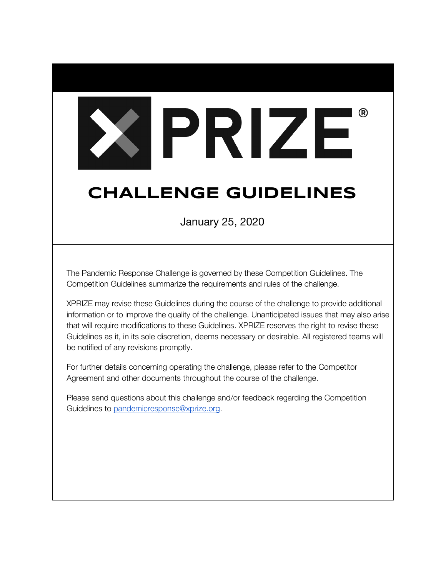# XIPRIZE

# **CHALLENGE GUIDELINES**

January 25, 2020

The Pandemic Response Challenge is governed by these Competition Guidelines. The Competition Guidelines summarize the requirements and rules of the challenge.

XPRIZE may revise these Guidelines during the course of the challenge to provide additional information or to improve the quality of the challenge. Unanticipated issues that may also arise that will require modifications to these Guidelines. XPRIZE reserves the right to revise these Guidelines as it, in its sole discretion, deems necessary or desirable. All registered teams will be notified of any revisions promptly.

For further details concerning operating the challenge, please refer to the Competitor Agreement and other documents throughout the course of the challenge.

Please send questions about this challenge and/or feedback regarding the Competition Guidelines to [pandemicresponse@xprize.org](mailto:pandemicresponse@xprize.org).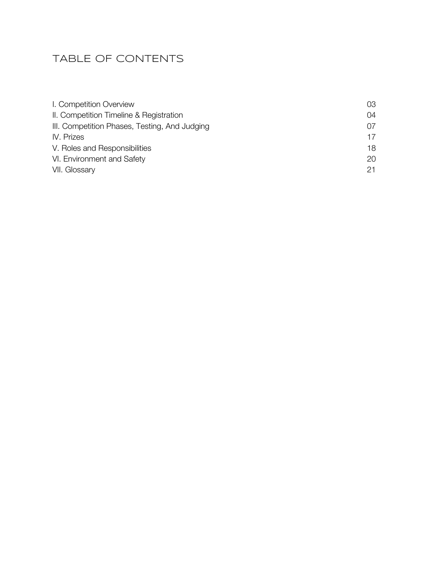# TABLE OF CONTENTS

| I. Competition Overview                       | 03. |
|-----------------------------------------------|-----|
| II. Competition Timeline & Registration       | 04  |
| III. Competition Phases, Testing, And Judging | 07  |
| IV. Prizes                                    | 17  |
| V. Roles and Responsibilities                 | 18. |
| VI. Environment and Safety                    | 20. |
| VII. Glossary                                 | 21  |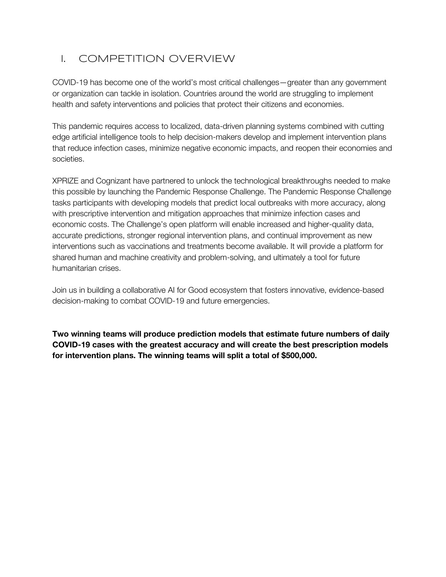# I. COMPETITION OVERVIEW

COVID-19 has become one of the world's most critical challenges—greater than any government or organization can tackle in isolation. Countries around the world are struggling to implement health and safety interventions and policies that protect their citizens and economies.

This pandemic requires access to localized, data-driven planning systems combined with cutting edge artificial intelligence tools to help decision-makers develop and implement intervention plans that reduce infection cases, minimize negative economic impacts, and reopen their economies and societies.

XPRIZE and Cognizant have partnered to unlock the technological breakthroughs needed to make this possible by launching the Pandemic Response Challenge. The Pandemic Response Challenge tasks participants with developing models that predict local outbreaks with more accuracy, along with prescriptive intervention and mitigation approaches that minimize infection cases and economic costs. The Challenge's open platform will enable increased and higher-quality data, accurate predictions, stronger regional intervention plans, and continual improvement as new interventions such as vaccinations and treatments become available. It will provide a platform for shared human and machine creativity and problem-solving, and ultimately a tool for future humanitarian crises.

Join us in building a collaborative AI for Good ecosystem that fosters innovative, evidence-based decision-making to combat COVID-19 and future emergencies.

**Two winning teams will produce prediction models that estimate future numbers of daily COVID-19 cases with the greatest accuracy and will create the best prescription models for intervention plans. The winning teams will split a total of \$500,000.**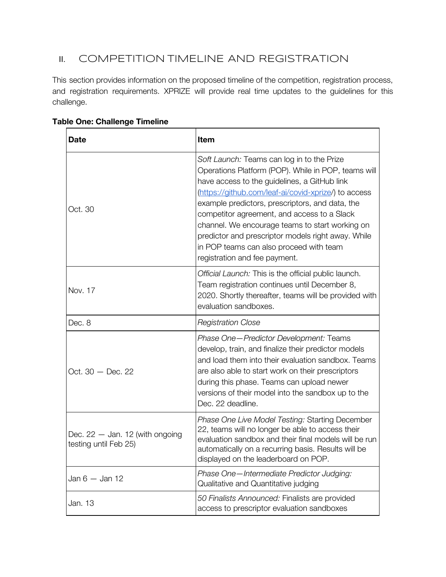## **II.** COMPETITION TIMELINE AND REGISTRATION

This section provides information on the proposed timeline of the competition, registration process, and registration requirements. XPRIZE will provide real time updates to the guidelines for this challenge.

| <b>Date</b>                                                | Item                                                                                                                                                                                                                                                                                                                                                                                                                                                                                             |
|------------------------------------------------------------|--------------------------------------------------------------------------------------------------------------------------------------------------------------------------------------------------------------------------------------------------------------------------------------------------------------------------------------------------------------------------------------------------------------------------------------------------------------------------------------------------|
| Oct. 30                                                    | Soft Launch: Teams can log in to the Prize<br>Operations Platform (POP). While in POP, teams will<br>have access to the guidelines, a GitHub link<br>(https://github.com/leaf-ai/covid-xprize/) to access<br>example predictors, prescriptors, and data, the<br>competitor agreement, and access to a Slack<br>channel. We encourage teams to start working on<br>predictor and prescriptor models right away. While<br>in POP teams can also proceed with team<br>registration and fee payment. |
| Nov. 17                                                    | Official Launch: This is the official public launch.<br>Team registration continues until December 8,<br>2020. Shortly thereafter, teams will be provided with<br>evaluation sandboxes.                                                                                                                                                                                                                                                                                                          |
| Dec. 8                                                     | <b>Registration Close</b>                                                                                                                                                                                                                                                                                                                                                                                                                                                                        |
| Oct. $30 - Dec. 22$                                        | Phase One-Predictor Development: Teams<br>develop, train, and finalize their predictor models<br>and load them into their evaluation sandbox. Teams<br>are also able to start work on their prescriptors<br>during this phase. Teams can upload newer<br>versions of their model into the sandbox up to the<br>Dec. 22 deadline.                                                                                                                                                                 |
| Dec. $22 -$ Jan. 12 (with ongoing<br>testing until Feb 25) | Phase One Live Model Testing: Starting December<br>22, teams will no longer be able to access their<br>evaluation sandbox and their final models will be run<br>automatically on a recurring basis. Results will be<br>displayed on the leaderboard on POP.                                                                                                                                                                                                                                      |
| Jan $6 -$ Jan 12                                           | Phase One-Intermediate Predictor Judging:<br>Qualitative and Quantitative judging                                                                                                                                                                                                                                                                                                                                                                                                                |
| Jan. 13                                                    | 50 Finalists Announced: Finalists are provided<br>access to prescriptor evaluation sandboxes                                                                                                                                                                                                                                                                                                                                                                                                     |

#### **Table One: Challenge Timeline**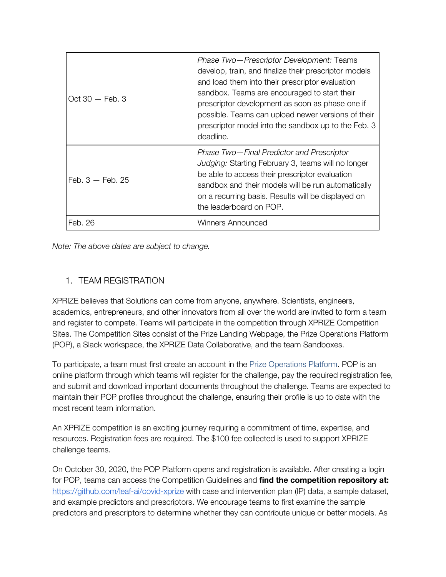| $Oct 30 - Feb. 3$  | Phase Two-Prescriptor Development: Teams<br>develop, train, and finalize their prescriptor models<br>and load them into their prescriptor evaluation<br>sandbox. Teams are encouraged to start their<br>prescriptor development as soon as phase one if<br>possible. Teams can upload newer versions of their<br>prescriptor model into the sandbox up to the Feb. 3<br>deadline. |
|--------------------|-----------------------------------------------------------------------------------------------------------------------------------------------------------------------------------------------------------------------------------------------------------------------------------------------------------------------------------------------------------------------------------|
| Feb. $3 -$ Feb. 25 | Phase Two-Final Predictor and Prescriptor<br>Judging: Starting February 3, teams will no longer<br>be able to access their prescriptor evaluation<br>sandbox and their models will be run automatically<br>on a recurring basis. Results will be displayed on<br>the leaderboard on POP.                                                                                          |
| Feb. 26            | Winners Announced                                                                                                                                                                                                                                                                                                                                                                 |

*Note: The above dates are subject to change.*

#### 1. TEAM REGISTRATION

XPRIZE believes that Solutions can come from anyone, anywhere. Scientists, engineers, academics, entrepreneurs, and other innovators from all over the world are invited to form a team and register to compete. Teams will participate in the competition through XPRIZE Competition Sites. The Competition Sites consist of the Prize Landing Webpage, the Prize Operations Platform (POP), a Slack workspace, the XPRIZE Data Collaborative, and the team Sandboxes.

To participate, a team must first create an account in the **[P](https://pop.xprize.org/)rize [Operations](https://pop.xprize.org/) Platform**. POP is an online platform through which teams will register for the challenge, pay the required registration fee, and submit and download important documents throughout the challenge. Teams are expected to maintain their POP profiles throughout the challenge, ensuring their profile is up to date with the most recent team information.

An XPRIZE competition is an exciting journey requiring a commitment of time, expertise, and resources. Registration fees are required. The \$100 fee collected is used to support XPRIZE challenge teams.

On October 30, 2020, the POP Platform opens and registration is available. After creating a login for POP, teams can access the Competition Guidelines and **find the competition repository at:** <https://github.com/leaf-ai/covid-xprize> with case and intervention plan (IP) data, a sample dataset, and example predictors and prescriptors. We encourage teams to first examine the sample predictors and prescriptors to determine whether they can contribute unique or better models. As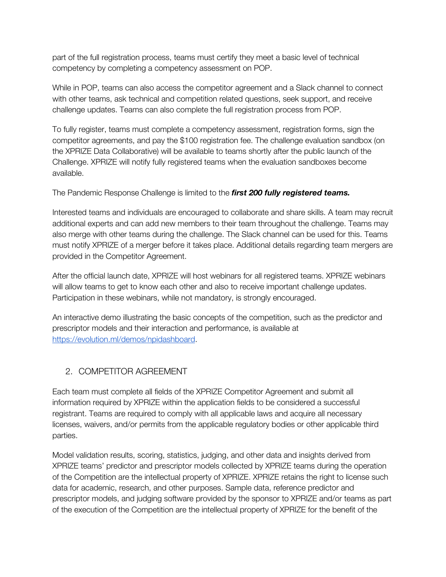part of the full registration process, teams must certify they meet a basic level of technical competency by completing a competency assessment on POP.

While in POP, teams can also access the competitor agreement and a Slack channel to connect with other teams, ask technical and competition related questions, seek support, and receive challenge updates. Teams can also complete the full registration process from POP.

To fully register, teams must complete a competency assessment, registration forms, sign the competitor agreements, and pay the \$100 registration fee. The challenge evaluation sandbox (on the XPRIZE Data Collaborative) will be available to teams shortly after the public launch of the Challenge. XPRIZE will notify fully registered teams when the evaluation sandboxes become available.

The Pandemic Response Challenge is limited to the *first 200 fully registered teams.*

Interested teams and individuals are encouraged to collaborate and share skills. A team may recruit additional experts and can add new members to their team throughout the challenge. Teams may also merge with other teams during the challenge. The Slack channel can be used for this. Teams must notify XPRIZE of a merger before it takes place. Additional details regarding team mergers are provided in the Competitor Agreement.

After the official launch date, XPRIZE will host webinars for all registered teams. XPRIZE webinars will allow teams to get to know each other and also to receive important challenge updates. Participation in these webinars, while not mandatory, is strongly encouraged.

An interactive demo illustrating the basic concepts of the competition, such as the predictor and prescriptor models and their interaction and performance, is available at <https://evolution.ml/demos/npidashboard>.

#### 2. COMPETITOR AGREEMENT

Each team must complete all fields of the XPRIZE Competitor Agreement and submit all information required by XPRIZE within the application fields to be considered a successful registrant. Teams are required to comply with all applicable laws and acquire all necessary licenses, waivers, and/or permits from the applicable regulatory bodies or other applicable third parties.

Model validation results, scoring, statistics, judging, and other data and insights derived from XPRIZE teams' predictor and prescriptor models collected by XPRIZE teams during the operation of the Competition are the intellectual property of XPRIZE. XPRIZE retains the right to license such data for academic, research, and other purposes. Sample data, reference predictor and prescriptor models, and judging software provided by the sponsor to XPRIZE and/or teams as part of the execution of the Competition are the intellectual property of XPRIZE for the benefit of the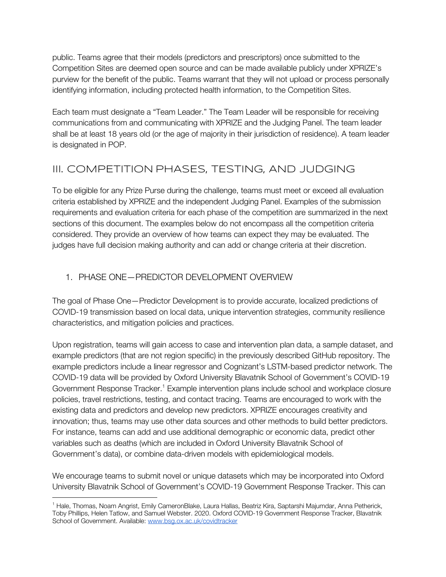public. Teams agree that their models (predictors and prescriptors) once submitted to the Competition Sites are deemed open source and can be made available publicly under XPRIZE's purview for the benefit of the public. Teams warrant that they will not upload or process personally identifying information, including protected health information, to the Competition Sites.

Each team must designate a "Team Leader." The Team Leader will be responsible for receiving communications from and communicating with XPRIZE and the Judging Panel. The team leader shall be at least 18 years old (or the age of majority in their jurisdiction of residence). A team leader is designated in POP.

# III. COMPETITION PHASES, TESTING, AND JUDGING

To be eligible for any Prize Purse during the challenge, teams must meet or exceed all evaluation criteria established by XPRIZE and the independent Judging Panel. Examples of the submission requirements and evaluation criteria for each phase of the competition are summarized in the next sections of this document. The examples below do not encompass all the competition criteria considered. They provide an overview of how teams can expect they may be evaluated. The judges have full decision making authority and can add or change criteria at their discretion.

#### 1. PHASE ONE—PREDICTOR DEVELOPMENT OVERVIEW

The goal of Phase One—Predictor Development is to provide accurate, localized predictions of COVID-19 transmission based on local data, unique intervention strategies, community resilience characteristics, and mitigation policies and practices.

Upon registration, teams will gain access to case and intervention plan data, a sample dataset, and example predictors (that are not region specific) in the previously described GitHub repository. The example predictors include a linear regressor and Cognizant's LSTM-based predictor network. The COVID-19 data will be provided by Oxford University Blavatnik School of Government's COVID-19 Government Response Tracker.<sup>1</sup> Example intervention plans include school and workplace closure policies, travel restrictions, testing, and contact tracing. Teams are encouraged to work with the existing data and predictors and develop new predictors. XPRIZE encourages creativity and innovation; thus, teams may use other data sources and other methods to build better predictors. For instance, teams can add and use additional demographic or economic data, predict other variables such as deaths (which are included in Oxford University Blavatnik School of Government's data), or combine data-driven models with epidemiological models.

We encourage teams to submit novel or unique datasets which may be incorporated into Oxford University Blavatnik School of Government's COVID-19 Government Response Tracker. This can

<sup>1</sup> Hale, Thomas, Noam Angrist, Emily CameronBlake, Laura Hallas, Beatriz Kira, Saptarshi Majumdar, Anna Petherick, Toby Phillips, Helen Tatlow, and Samuel Webster. 2020. Oxford COVID-19 Government Response Tracker, Blavatnik School of Government. Available: [www.bsg.ox.ac.uk/covidtracker](http://www.bsg.ox.ac.uk/covidtracker)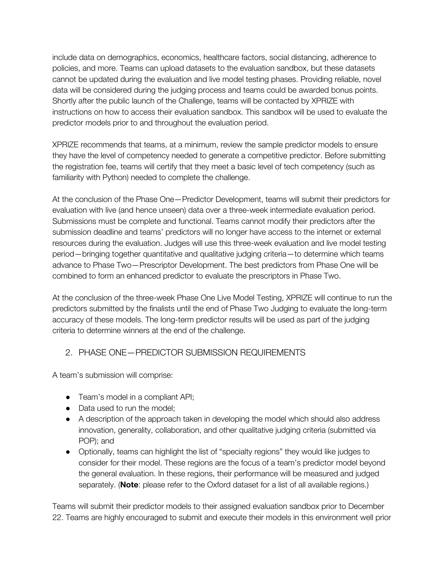include data on demographics, economics, healthcare factors, social distancing, adherence to policies, and more. Teams can upload datasets to the evaluation sandbox, but these datasets cannot be updated during the evaluation and live model testing phases. Providing reliable, novel data will be considered during the judging process and teams could be awarded bonus points. Shortly after the public launch of the Challenge, teams will be contacted by XPRIZE with instructions on how to access their evaluation sandbox. This sandbox will be used to evaluate the predictor models prior to and throughout the evaluation period.

XPRIZE recommends that teams, at a minimum, review the sample predictor models to ensure they have the level of competency needed to generate a competitive predictor. Before submitting the registration fee, teams will certify that they meet a basic level of tech competency (such as familiarity with Python) needed to complete the challenge.

At the conclusion of the Phase One—Predictor Development, teams will submit their predictors for evaluation with live (and hence unseen) data over a three-week intermediate evaluation period. Submissions must be complete and functional. Teams cannot modify their predictors after the submission deadline and teams' predictors will no longer have access to the internet or external resources during the evaluation. Judges will use this three-week evaluation and live model testing period—bringing together quantitative and qualitative judging criteria—to determine which teams advance to Phase Two—Prescriptor Development. The best predictors from Phase One will be combined to form an enhanced predictor to evaluate the prescriptors in Phase Two.

At the conclusion of the three-week Phase One Live Model Testing, XPRIZE will continue to run the predictors submitted by the finalists until the end of Phase Two Judging to evaluate the long-term accuracy of these models. The long-term predictor results will be used as part of the judging criteria to determine winners at the end of the challenge.

#### 2. PHASE ONE—PREDICTOR SUBMISSION REQUIREMENTS

A team's submission will comprise:

- Team's model in a compliant API;
- Data used to run the model;
- A description of the approach taken in developing the model which should also address innovation, generality, collaboration, and other qualitative judging criteria (submitted via POP); and
- Optionally, teams can highlight the list of "specialty regions" they would like judges to consider for their model. These regions are the focus of a team's predictor model beyond the general evaluation. In these regions, their performance will be measured and judged separately. (**Note**: please refer to the Oxford dataset for a list of all available regions.)

Teams will submit their predictor models to their assigned evaluation sandbox prior to December 22. Teams are highly encouraged to submit and execute their models in this environment well prior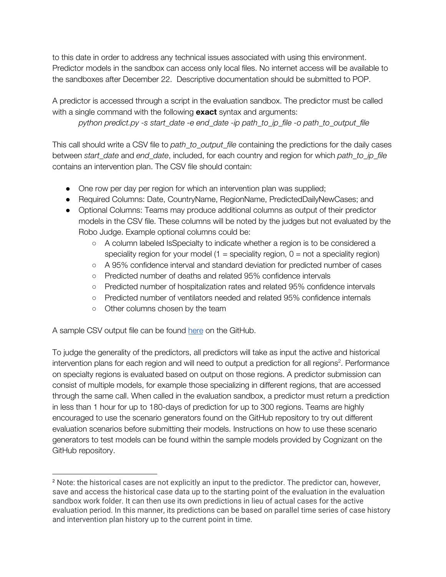to this date in order to address any technical issues associated with using this environment. Predictor models in the sandbox can access only local files. No internet access will be available to the sandboxes after December 22. Descriptive documentation should be submitted to POP.

A predictor is accessed through a script in the evaluation sandbox. The predictor must be called with a single command with the following **exact** syntax and arguments:

*python predict.py -s start\_date -e end\_date -ip path\_to\_ip\_file -o path\_to\_output\_file*

This call should write a CSV file to *path\_to\_output\_file* containing the predictions for the daily cases between *start\_date* and *end\_date*, included, for each country and region for which *path\_to\_ip\_file* contains an intervention plan. The CSV file should contain:

- One row per day per region for which an intervention plan was supplied;
- Required Columns: Date, CountryName, RegionName, PredictedDailyNewCases; and
- Optional Columns: Teams may produce additional columns as output of their predictor models in the CSV file. These columns will be noted by the judges but not evaluated by the Robo Judge. Example optional columns could be:
	- A column labeled IsSpecialty to indicate whether a region is to be considered a speciality region for your model  $(1 =$  speciality region,  $0 =$  not a speciality region)
	- A 95% confidence interval and standard deviation for predicted number of cases
	- Predicted number of deaths and related 95% confidence intervals
	- Predicted number of hospitalization rates and related 95% confidence intervals
	- Predicted number of ventilators needed and related 95% confidence internals
	- Other columns chosen by the team

A sample CSV output file can be found [here](https://github.com/leaf-ai/covid-xprize/blob/master/2020-08-01_2020-08-04_predictions_example.csv) on the GitHub.

To judge the generality of the predictors, all predictors will take as input the active and historical intervention plans for each region and will need to output a prediction for all regions<sup>2</sup>. Performance on specialty regions is evaluated based on output on those regions. A predictor submission can consist of multiple models, for example those specializing in different regions, that are accessed through the same call. When called in the evaluation sandbox, a predictor must return a prediction in less than 1 hour for up to 180-days of prediction for up to 300 regions. Teams are highly encouraged to use the scenario generators found on the GitHub repository to try out different evaluation scenarios before submitting their models. Instructions on how to use these scenario generators to test models can be found within the sample models provided by Cognizant on the GitHub repository.

<sup>&</sup>lt;sup>2</sup> Note: the historical cases are not explicitly an input to the predictor. The predictor can, however, save and access the historical case data up to the starting point of the evaluation in the evaluation sandbox work folder. It can then use its own predictions in lieu of actual cases for the active evaluation period. In this manner, its predictions can be based on parallel time series of case history and intervention plan history up to the current point in time.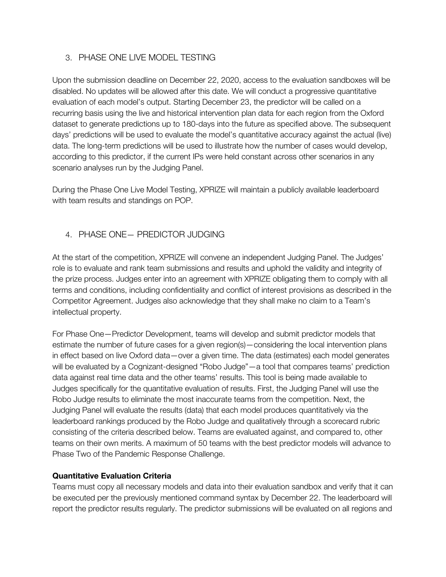#### 3. PHASE ONE LIVE MODEL TESTING

Upon the submission deadline on December 22, 2020, access to the evaluation sandboxes will be disabled. No updates will be allowed after this date. We will conduct a progressive quantitative evaluation of each model's output. Starting December 23, the predictor will be called on a recurring basis using the live and historical intervention plan data for each region from the Oxford dataset to generate predictions up to 180-days into the future as specified above. The subsequent days' predictions will be used to evaluate the model's quantitative accuracy against the actual (live) data. The long-term predictions will be used to illustrate how the number of cases would develop, according to this predictor, if the current IPs were held constant across other scenarios in any scenario analyses run by the Judging Panel.

During the Phase One Live Model Testing, XPRIZE will maintain a publicly available leaderboard with team results and standings on POP.

#### 4. PHASE ONE— PREDICTOR JUDGING

At the start of the competition, XPRIZE will convene an independent Judging Panel. The Judges' role is to evaluate and rank team submissions and results and uphold the validity and integrity of the prize process. Judges enter into an agreement with XPRIZE obligating them to comply with all terms and conditions, including confidentiality and conflict of interest provisions as described in the Competitor Agreement. Judges also acknowledge that they shall make no claim to a Team's intellectual property.

For Phase One—Predictor Development, teams will develop and submit predictor models that estimate the number of future cases for a given region(s)—considering the local intervention plans in effect based on live Oxford data—over a given time. The data (estimates) each model generates will be evaluated by a Cognizant-designed "Robo Judge"—a tool that compares teams' prediction data against real time data and the other teams' results. This tool is being made available to Judges specifically for the quantitative evaluation of results. First, the Judging Panel will use the Robo Judge results to eliminate the most inaccurate teams from the competition. Next, the Judging Panel will evaluate the results (data) that each model produces quantitatively via the leaderboard rankings produced by the Robo Judge and qualitatively through a scorecard rubric consisting of the criteria described below. Teams are evaluated against, and compared to, other teams on their own merits. A maximum of 50 teams with the best predictor models will advance to Phase Two of the Pandemic Response Challenge.

#### **Quantitative Evaluation Criteria**

Teams must copy all necessary models and data into their evaluation sandbox and verify that it can be executed per the previously mentioned command syntax by December 22. The leaderboard will report the predictor results regularly. The predictor submissions will be evaluated on all regions and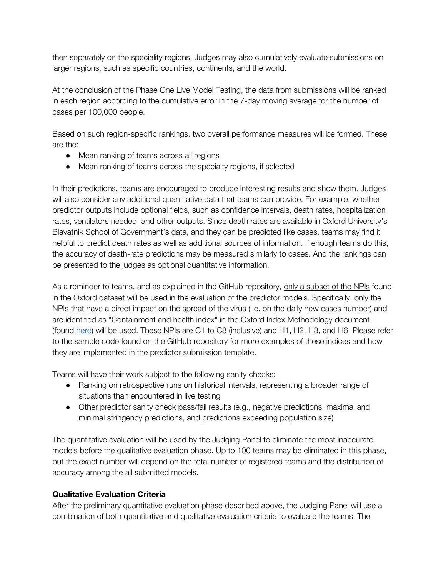then separately on the speciality regions. Judges may also cumulatively evaluate submissions on larger regions, such as specific countries, continents, and the world.

At the conclusion of the Phase One Live Model Testing, the data from submissions will be ranked in each region according to the cumulative error in the 7-day moving average for the number of cases per 100,000 people.

Based on such region-specific rankings, two overall performance measures will be formed. These are the:

- Mean ranking of teams across all regions
- Mean ranking of teams across the specialty regions, if selected

In their predictions, teams are encouraged to produce interesting results and show them. Judges will also consider any additional quantitative data that teams can provide. For example, whether predictor outputs include optional fields, such as confidence intervals, death rates, hospitalization rates, ventilators needed, and other outputs. Since death rates are available in Oxford University's Blavatnik School of Government's data, and they can be predicted like cases, teams may find it helpful to predict death rates as well as additional sources of information. If enough teams do this, the accuracy of death-rate predictions may be measured similarly to cases. And the rankings can be presented to the judges as optional quantitative information.

As a reminder to teams, and as explained in the GitHub repository, only a subset of the NPIs found in the Oxford dataset will be used in the evaluation of the predictor models. Specifically, only the NPIs that have a direct impact on the spread of the virus (i.e. on the daily new cases number) and are identified as "Containment and health index" in the Oxford Index Methodology document (found [here](https://github.com/OxCGRT/covid-policy-tracker/blob/master/documentation/index_methodology.md)) will be used. These NPIs are C1 to C8 (inclusive) and H1, H2, H3, and H6. Please refer to the sample code found on the GitHub repository for more examples of these indices and how they are implemented in the predictor submission template.

Teams will have their work subject to the following sanity checks:

- Ranking on retrospective runs on historical intervals, representing a broader range of situations than encountered in live testing
- Other predictor sanity check pass/fail results (e.g., negative predictions, maximal and minimal stringency predictions, and predictions exceeding population size)

The quantitative evaluation will be used by the Judging Panel to eliminate the most inaccurate models before the qualitative evaluation phase. Up to 100 teams may be eliminated in this phase, but the exact number will depend on the total number of registered teams and the distribution of accuracy among the all submitted models.

#### **Qualitative Evaluation Criteria**

After the preliminary quantitative evaluation phase described above, the Judging Panel will use a combination of both quantitative and qualitative evaluation criteria to evaluate the teams. The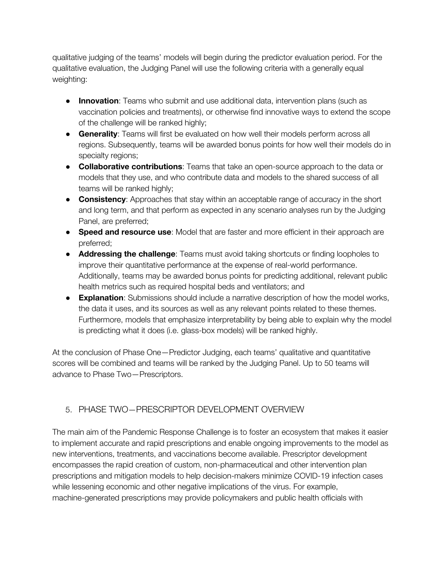qualitative judging of the teams' models will begin during the predictor evaluation period. For the qualitative evaluation, the Judging Panel will use the following criteria with a generally equal weighting:

- **Innovation**: Teams who submit and use additional data, intervention plans (such as vaccination policies and treatments), or otherwise find innovative ways to extend the scope of the challenge will be ranked highly;
- **Generality**: Teams will first be evaluated on how well their models perform across all regions. Subsequently, teams will be awarded bonus points for how well their models do in specialty regions;
- **Collaborative contributions**: Teams that take an open-source approach to the data or models that they use, and who contribute data and models to the shared success of all teams will be ranked highly;
- **Consistency**: Approaches that stay within an acceptable range of accuracy in the short and long term, and that perform as expected in any scenario analyses run by the Judging Panel, are preferred;
- **Speed and resource use**: Model that are faster and more efficient in their approach are preferred;
- **Addressing the challenge**: Teams must avoid taking shortcuts or finding loopholes to improve their quantitative performance at the expense of real-world performance. Additionally, teams may be awarded bonus points for predicting additional, relevant public health metrics such as required hospital beds and ventilators; and
- **Explanation**: Submissions should include a narrative description of how the model works, the data it uses, and its sources as well as any relevant points related to these themes. Furthermore, models that emphasize interpretability by being able to explain why the model is predicting what it does (i.e. glass-box models) will be ranked highly.

At the conclusion of Phase One—Predictor Judging, each teams' qualitative and quantitative scores will be combined and teams will be ranked by the Judging Panel. Up to 50 teams will advance to Phase Two—Prescriptors.

#### 5. PHASE TWO—PRESCRIPTOR DEVELOPMENT OVERVIEW

The main aim of the Pandemic Response Challenge is to foster an ecosystem that makes it easier to implement accurate and rapid prescriptions and enable ongoing improvements to the model as new interventions, treatments, and vaccinations become available. Prescriptor development encompasses the rapid creation of custom, non-pharmaceutical and other intervention plan prescriptions and mitigation models to help decision-makers minimize COVID-19 infection cases while lessening economic and other negative implications of the virus. For example, machine-generated prescriptions may provide policymakers and public health officials with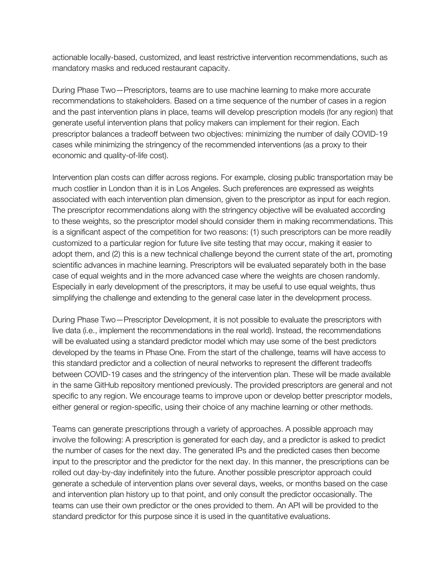actionable locally-based, customized, and least restrictive intervention recommendations, such as mandatory masks and reduced restaurant capacity.

During Phase Two—Prescriptors, teams are to use machine learning to make more accurate recommendations to stakeholders. Based on a time sequence of the number of cases in a region and the past intervention plans in place, teams will develop prescription models (for any region) that generate useful intervention plans that policy makers can implement for their region. Each prescriptor balances a tradeoff between two objectives: minimizing the number of daily COVID-19 cases while minimizing the stringency of the recommended interventions (as a proxy to their economic and quality-of-life cost).

Intervention plan costs can differ across regions. For example, closing public transportation may be much costlier in London than it is in Los Angeles. Such preferences are expressed as weights associated with each intervention plan dimension, given to the prescriptor as input for each region. The prescriptor recommendations along with the stringency objective will be evaluated according to these weights, so the prescriptor model should consider them in making recommendations. This is a significant aspect of the competition for two reasons: (1) such prescriptors can be more readily customized to a particular region for future live site testing that may occur, making it easier to adopt them, and (2) this is a new technical challenge beyond the current state of the art, promoting scientific advances in machine learning. Prescriptors will be evaluated separately both in the base case of equal weights and in the more advanced case where the weights are chosen randomly. Especially in early development of the prescriptors, it may be useful to use equal weights, thus simplifying the challenge and extending to the general case later in the development process.

During Phase Two—Prescriptor Development, it is not possible to evaluate the prescriptors with live data (i.e., implement the recommendations in the real world). Instead, the recommendations will be evaluated using a standard predictor model which may use some of the best predictors developed by the teams in Phase One. From the start of the challenge, teams will have access to this standard predictor and a collection of neural networks to represent the different tradeoffs between COVID-19 cases and the stringency of the intervention plan. These will be made available in the same GitHub repository mentioned previously. The provided prescriptors are general and not specific to any region. We encourage teams to improve upon or develop better prescriptor models, either general or region-specific, using their choice of any machine learning or other methods.

Teams can generate prescriptions through a variety of approaches. A possible approach may involve the following: A prescription is generated for each day, and a predictor is asked to predict the number of cases for the next day. The generated IPs and the predicted cases then become input to the prescriptor and the predictor for the next day. In this manner, the prescriptions can be rolled out day-by-day indefinitely into the future. Another possible prescriptor approach could generate a schedule of intervention plans over several days, weeks, or months based on the case and intervention plan history up to that point, and only consult the predictor occasionally. The teams can use their own predictor or the ones provided to them. An API will be provided to the standard predictor for this purpose since it is used in the quantitative evaluations.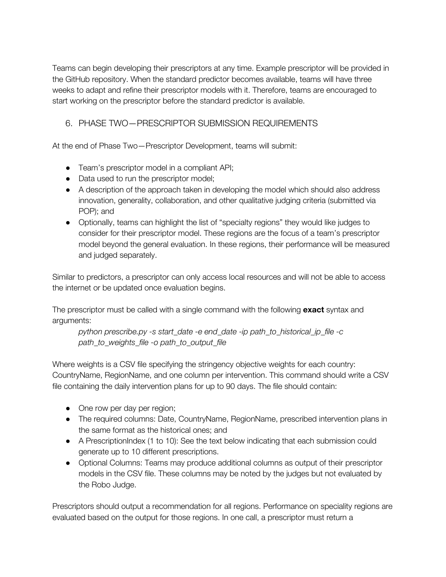Teams can begin developing their prescriptors at any time. Example prescriptor will be provided in the GitHub repository. When the standard predictor becomes available, teams will have three weeks to adapt and refine their prescriptor models with it. Therefore, teams are encouraged to start working on the prescriptor before the standard predictor is available.

#### 6. PHASE TWO—PRESCRIPTOR SUBMISSION REQUIREMENTS

At the end of Phase Two—Prescriptor Development, teams will submit:

- Team's prescriptor model in a compliant API;
- Data used to run the prescriptor model;
- A description of the approach taken in developing the model which should also address innovation, generality, collaboration, and other qualitative judging criteria (submitted via POP); and
- Optionally, teams can highlight the list of "specialty regions" they would like judges to consider for their prescriptor model. These regions are the focus of a team's prescriptor model beyond the general evaluation. In these regions, their performance will be measured and judged separately.

Similar to predictors, a prescriptor can only access local resources and will not be able to access the internet or be updated once evaluation begins.

The prescriptor must be called with a single command with the following **exact** syntax and arguments:

*python prescribe.py -s start\_date -e end\_date -ip path\_to\_historical\_ip\_file -c path\_to\_weights\_file -o path\_to\_output\_file*

Where weights is a CSV file specifying the stringency objective weights for each country: CountryName, RegionName, and one column per intervention. This command should write a CSV file containing the daily intervention plans for up to 90 days. The file should contain:

- One row per day per region;
- The required columns: Date, CountryName, RegionName, prescribed intervention plans in the same format as the historical ones; and
- A PrescriptionIndex (1 to 10): See the text below indicating that each submission could generate up to 10 different prescriptions.
- Optional Columns: Teams may produce additional columns as output of their prescriptor models in the CSV file. These columns may be noted by the judges but not evaluated by the Robo Judge.

Prescriptors should output a recommendation for all regions. Performance on speciality regions are evaluated based on the output for those regions. In one call, a prescriptor must return a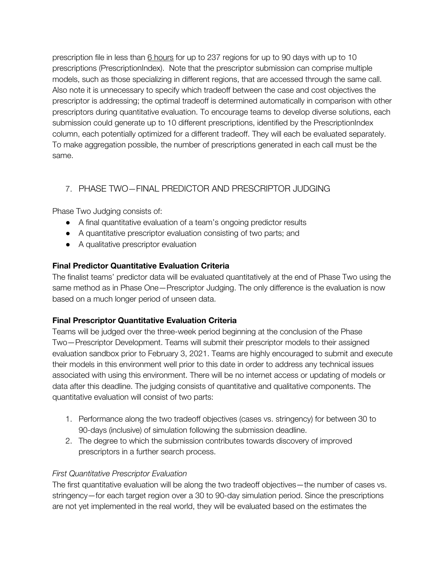prescription file in less than 6 hours for up to 237 regions for up to 90 days with up to 10 prescriptions (PrescriptionIndex). Note that the prescriptor submission can comprise multiple models, such as those specializing in different regions, that are accessed through the same call. Also note it is unnecessary to specify which tradeoff between the case and cost objectives the prescriptor is addressing; the optimal tradeoff is determined automatically in comparison with other prescriptors during quantitative evaluation. To encourage teams to develop diverse solutions, each submission could generate up to 10 different prescriptions, identified by the PrescriptionIndex column, each potentially optimized for a different tradeoff. They will each be evaluated separately. To make aggregation possible, the number of prescriptions generated in each call must be the same.

#### 7. PHASE TWO—FINAL PREDICTOR AND PRESCRIPTOR JUDGING

Phase Two Judging consists of:

- A final quantitative evaluation of a team's ongoing predictor results
- A quantitative prescriptor evaluation consisting of two parts; and
- A qualitative prescriptor evaluation

#### **Final Predictor Quantitative Evaluation Criteria**

The finalist teams' predictor data will be evaluated quantitatively at the end of Phase Two using the same method as in Phase One—Prescriptor Judging. The only difference is the evaluation is now based on a much longer period of unseen data.

#### **Final Prescriptor Quantitative Evaluation Criteria**

Teams will be judged over the three-week period beginning at the conclusion of the Phase Two—Prescriptor Development. Teams will submit their prescriptor models to their assigned evaluation sandbox prior to February 3, 2021. Teams are highly encouraged to submit and execute their models in this environment well prior to this date in order to address any technical issues associated with using this environment. There will be no internet access or updating of models or data after this deadline. The judging consists of quantitative and qualitative components. The quantitative evaluation will consist of two parts:

- 1. Performance along the two tradeoff objectives (cases vs. stringency) for between 30 to 90-days (inclusive) of simulation following the submission deadline.
- 2. The degree to which the submission contributes towards discovery of improved prescriptors in a further search process.

#### *First Quantitative Prescriptor Evaluation*

The first quantitative evaluation will be along the two tradeoff objectives—the number of cases vs. stringency—for each target region over a 30 to 90-day simulation period. Since the prescriptions are not yet implemented in the real world, they will be evaluated based on the estimates the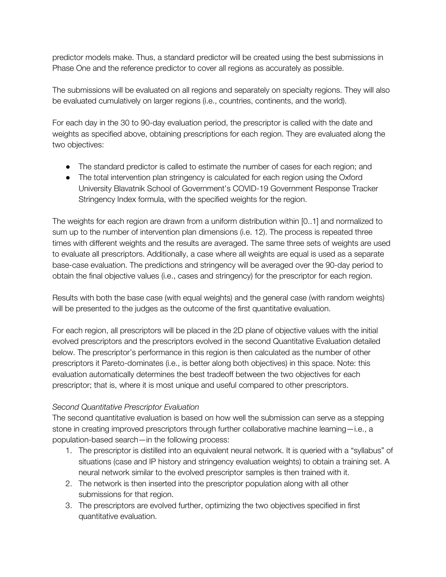predictor models make. Thus, a standard predictor will be created using the best submissions in Phase One and the reference predictor to cover all regions as accurately as possible.

The submissions will be evaluated on all regions and separately on specialty regions. They will also be evaluated cumulatively on larger regions (i.e., countries, continents, and the world).

For each day in the 30 to 90-day evaluation period, the prescriptor is called with the date and weights as specified above, obtaining prescriptions for each region. They are evaluated along the two objectives:

- The standard predictor is called to estimate the number of cases for each region; and
- The total intervention plan stringency is calculated for each region using the Oxford University Blavatnik School of Government's COVID-19 Government Response Tracker Stringency Index formula, with the specified weights for the region.

The weights for each region are drawn from a uniform distribution within [0..1] and normalized to sum up to the number of intervention plan dimensions (i.e. 12). The process is repeated three times with different weights and the results are averaged. The same three sets of weights are used to evaluate all prescriptors. Additionally, a case where all weights are equal is used as a separate base-case evaluation. The predictions and stringency will be averaged over the 90-day period to obtain the final objective values (i.e., cases and stringency) for the prescriptor for each region.

Results with both the base case (with equal weights) and the general case (with random weights) will be presented to the judges as the outcome of the first quantitative evaluation.

For each region, all prescriptors will be placed in the 2D plane of objective values with the initial evolved prescriptors and the prescriptors evolved in the second Quantitative Evaluation detailed below. The prescriptor's performance in this region is then calculated as the number of other prescriptors it Pareto-dominates (i.e., is better along both objectives) in this space. Note: this evaluation automatically determines the best tradeoff between the two objectives for each prescriptor; that is, where it is most unique and useful compared to other prescriptors.

#### *Second Quantitative Prescriptor Evaluation*

The second quantitative evaluation is based on how well the submission can serve as a stepping stone in creating improved prescriptors through further collaborative machine learning—i.e., a population-based search—in the following process:

- 1. The prescriptor is distilled into an equivalent neural network. It is queried with a "syllabus" of situations (case and IP history and stringency evaluation weights) to obtain a training set. A neural network similar to the evolved prescriptor samples is then trained with it.
- 2. The network is then inserted into the prescriptor population along with all other submissions for that region.
- 3. The prescriptors are evolved further, optimizing the two objectives specified in first quantitative evaluation.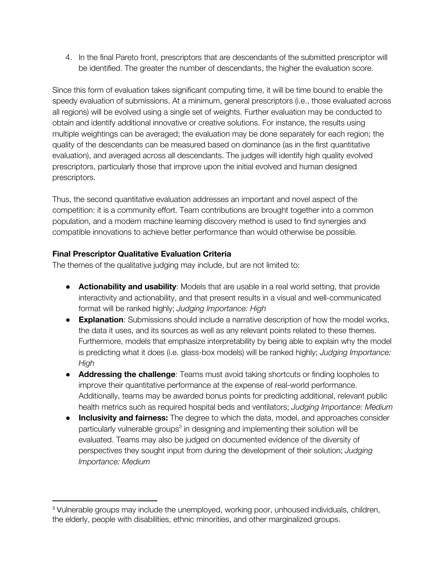4. In the final Pareto front, prescriptors that are descendants of the submitted prescriptor will be identified. The greater the number of descendants, the higher the evaluation score.

Since this form of evaluation takes significant computing time, it will be time bound to enable the speedy evaluation of submissions. At a minimum, general prescriptors (i.e., those evaluated across all regions) will be evolved using a single set of weights. Further evaluation may be conducted to obtain and identify additional innovative or creative solutions. For instance, the results using multiple weightings can be averaged; the evaluation may be done separately for each region; the quality of the descendants can be measured based on dominance (as in the first quantitative evaluation), and averaged across all descendants. The judges will identify high quality evolved prescriptors, particularly those that improve upon the initial evolved and human designed prescriptors.

Thus, the second quantitative evaluation addresses an important and novel aspect of the competition: it is a community effort. Team contributions are brought together into a common population, and a modern machine learning discovery method is used to find synergies and compatible innovations to achieve better performance than would otherwise be possible.

#### **Final Prescriptor Qualitative Evaluation Criteria**

The themes of the qualitative judging may include, but are not limited to:

- **Actionability and usability**: Models that are usable in a real world setting, that provide interactivity and actionability, and that present results in a visual and well-communicated format will be ranked highly; *Judging Importance: High*
- **Explanation**: Submissions should include a narrative description of how the model works, the data it uses, and its sources as well as any relevant points related to these themes. Furthermore, models that emphasize interpretability by being able to explain why the model is predicting what it does (i.e. glass-box models) will be ranked highly; *Judging Importance: High*
- **Addressing the challenge**: Teams must avoid taking shortcuts or finding loopholes to improve their quantitative performance at the expense of real-world performance. Additionally, teams may be awarded bonus points for predicting additional, relevant public health metrics such as required hospital beds and ventilators; *Judging Importance: Medium*
- **Inclusivity and fairness:** The degree to which the data, model, and approaches consider particularly vulnerable groups<sup>3</sup> in designing and implementing their solution will be evaluated. Teams may also be judged on documented evidence of the diversity of perspectives they sought input from during the development of their solution; *Judging Importance: Medium*

<sup>3</sup> Vulnerable groups may include the unemployed, working poor, unhoused individuals, children, the elderly, people with disabilities, ethnic minorities, and other marginalized groups.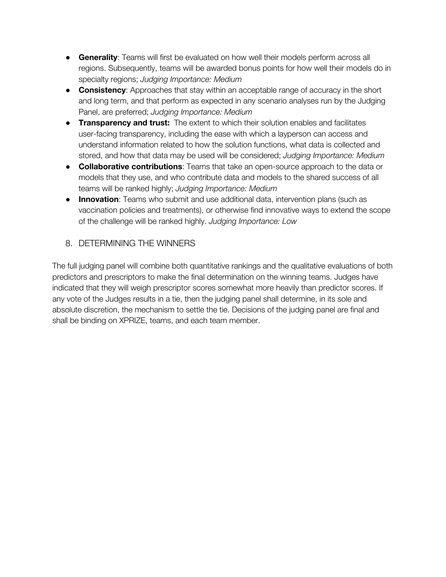- **Generality**: Teams will first be evaluated on how well their models perform across all regions. Subsequently, teams will be awarded bonus points for how well their models do in specialty regions; *Judging Importance: Medium*
- **Consistency**: Approaches that stay within an acceptable range of accuracy in the short and long term, and that perform as expected in any scenario analyses run by the Judging Panel, are preferred; *Judging Importance: Medium*
- **Transparency and trust:** The extent to which their solution enables and facilitates user-facing transparency, including the ease with which a layperson can access and understand information related to how the solution functions, what data is collected and stored, and how that data may be used will be considered; *Judging Importance: Medium*
- **Collaborative contributions**: Teams that take an open-source approach to the data or models that they use, and who contribute data and models to the shared success of all teams will be ranked highly; *Judging Importance: Medium*
- **Innovation**: Teams who submit and use additional data, intervention plans (such as vaccination policies and treatments), or otherwise find innovative ways to extend the scope of the challenge will be ranked highly. *Judging Importance: Low*

#### 8. DETERMINING THE WINNERS

The full judging panel will combine both quantitative rankings and the qualitative evaluations of both predictors and prescriptors to make the final determination on the winning teams. Judges have indicated that they will weigh prescriptor scores somewhat more heavily than predictor scores. If any vote of the Judges results in a tie, then the judging panel shall determine, in its sole and absolute discretion, the mechanism to settle the tie. Decisions of the judging panel are final and shall be binding on XPRIZE, teams, and each team member.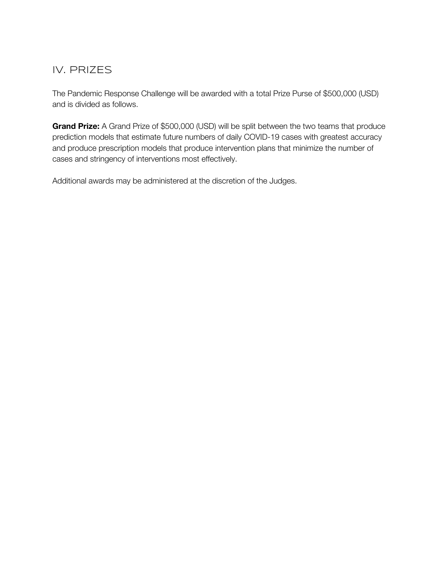## IV. PRIZES

The Pandemic Response Challenge will be awarded with a total Prize Purse of \$500,000 (USD) and is divided as follows.

**Grand Prize:** A Grand Prize of \$500,000 (USD) will be split between the two teams that produce prediction models that estimate future numbers of daily COVID-19 cases with greatest accuracy and produce prescription models that produce intervention plans that minimize the number of cases and stringency of interventions most effectively.

Additional awards may be administered at the discretion of the Judges.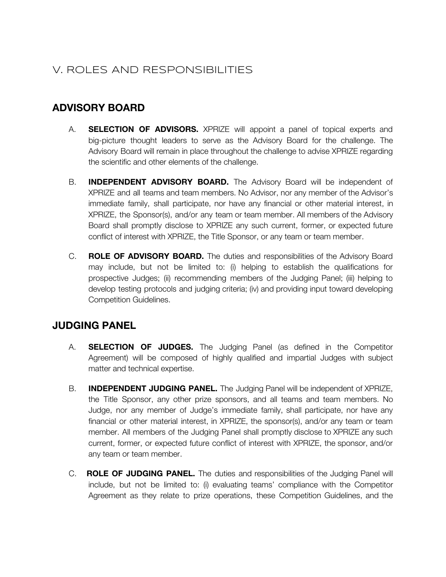# V. ROLES AND RESPONSIBILITIES

#### **ADVISORY BOARD**

- A. **SELECTION OF ADVISORS.** XPRIZE will appoint a panel of topical experts and big-picture thought leaders to serve as the Advisory Board for the challenge. The Advisory Board will remain in place throughout the challenge to advise XPRIZE regarding the scientific and other elements of the challenge.
- B. **INDEPENDENT ADVISORY BOARD.** The Advisory Board will be independent of XPRIZE and all teams and team members. No Advisor, nor any member of the Advisor's immediate family, shall participate, nor have any financial or other material interest, in XPRIZE, the Sponsor(s), and/or any team or team member. All members of the Advisory Board shall promptly disclose to XPRIZE any such current, former, or expected future conflict of interest with XPRIZE, the Title Sponsor, or any team or team member.
- C. **ROLE OF ADVISORY BOARD.** The duties and responsibilities of the Advisory Board may include, but not be limited to: (i) helping to establish the qualifications for prospective Judges; (ii) recommending members of the Judging Panel; (iii) helping to develop testing protocols and judging criteria; (iv) and providing input toward developing Competition Guidelines.

#### **JUDGING PANEL**

- A. **SELECTION OF JUDGES.** The Judging Panel (as defined in the Competitor Agreement) will be composed of highly qualified and impartial Judges with subject matter and technical expertise.
- B. **INDEPENDENT JUDGING PANEL.** The Judging Panel will be independent of XPRIZE, the Title Sponsor, any other prize sponsors, and all teams and team members. No Judge, nor any member of Judge's immediate family, shall participate, nor have any financial or other material interest, in XPRIZE, the sponsor(s), and/or any team or team member. All members of the Judging Panel shall promptly disclose to XPRIZE any such current, former, or expected future conflict of interest with XPRIZE, the sponsor, and/or any team or team member.
- C. **ROLE OF JUDGING PANEL.** The duties and responsibilities of the Judging Panel will include, but not be limited to: (i) evaluating teams' compliance with the Competitor Agreement as they relate to prize operations, these Competition Guidelines, and the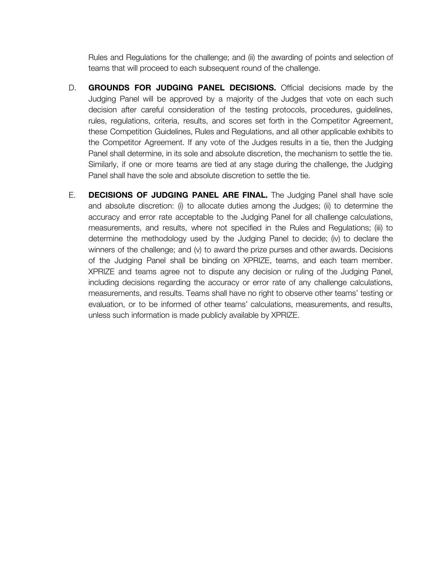Rules and Regulations for the challenge; and (ii) the awarding of points and selection of teams that will proceed to each subsequent round of the challenge.

- D. **GROUNDS FOR JUDGING PANEL DECISIONS.** Official decisions made by the Judging Panel will be approved by a majority of the Judges that vote on each such decision after careful consideration of the testing protocols, procedures, guidelines, rules, regulations, criteria, results, and scores set forth in the Competitor Agreement, these Competition Guidelines, Rules and Regulations, and all other applicable exhibits to the Competitor Agreement. If any vote of the Judges results in a tie, then the Judging Panel shall determine, in its sole and absolute discretion, the mechanism to settle the tie. Similarly, if one or more teams are tied at any stage during the challenge, the Judging Panel shall have the sole and absolute discretion to settle the tie.
- E. **DECISIONS OF JUDGING PANEL ARE FINAL.** The Judging Panel shall have sole and absolute discretion: (i) to allocate duties among the Judges; (ii) to determine the accuracy and error rate acceptable to the Judging Panel for all challenge calculations, measurements, and results, where not specified in the Rules and Regulations; (iii) to determine the methodology used by the Judging Panel to decide; (iv) to declare the winners of the challenge; and (v) to award the prize purses and other awards. Decisions of the Judging Panel shall be binding on XPRIZE, teams, and each team member. XPRIZE and teams agree not to dispute any decision or ruling of the Judging Panel, including decisions regarding the accuracy or error rate of any challenge calculations, measurements, and results. Teams shall have no right to observe other teams' testing or evaluation, or to be informed of other teams' calculations, measurements, and results, unless such information is made publicly available by XPRIZE.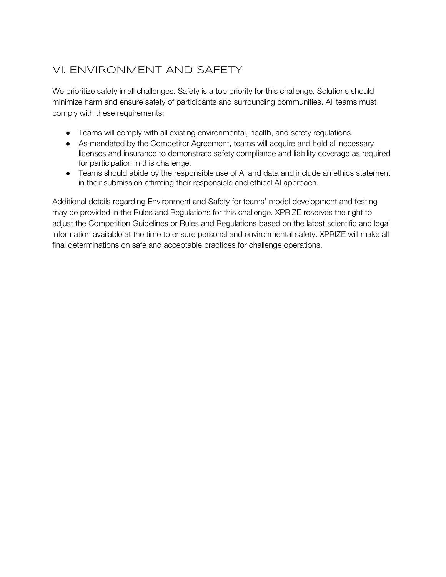# VI. ENVIRONMENT AND SAFETY

We prioritize safety in all challenges. Safety is a top priority for this challenge. Solutions should minimize harm and ensure safety of participants and surrounding communities. All teams must comply with these requirements:

- Teams will comply with all existing environmental, health, and safety regulations.
- As mandated by the Competitor Agreement, teams will acquire and hold all necessary licenses and insurance to demonstrate safety compliance and liability coverage as required for participation in this challenge.
- Teams should abide by the responsible use of AI and data and include an ethics statement in their submission affirming their responsible and ethical AI approach.

Additional details regarding Environment and Safety for teams' model development and testing may be provided in the Rules and Regulations for this challenge. XPRIZE reserves the right to adjust the Competition Guidelines or Rules and Regulations based on the latest scientific and legal information available at the time to ensure personal and environmental safety. XPRIZE will make all final determinations on safe and acceptable practices for challenge operations.